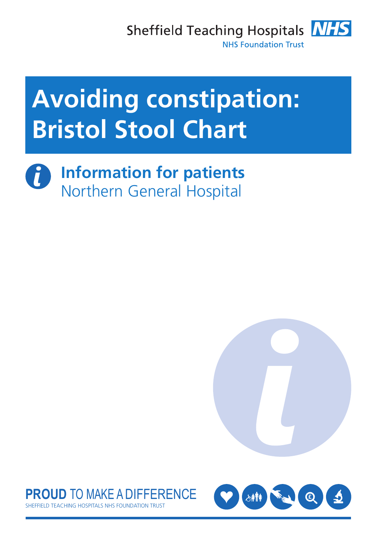Sheffield Teaching Hospitals **NHS NHS Foundation Trust** 



 $\boldsymbol{d}$ **Information for patients** Northern General Hospital





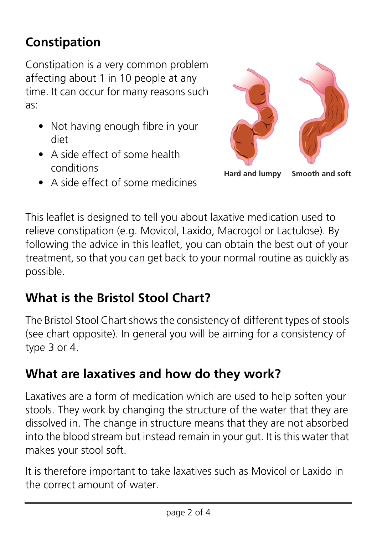# **Constipation**

Constipation is a very common problem affecting about 1 in 10 people at any time. It can occur for many reasons such as:

- Not having enough fibre in your diet
- A side effect of some health conditions
- A side effect of some medicines



**Hard and lumpy Smooth and soft**

This leaflet is designed to tell you about laxative medication used to relieve constipation (e.g. Movicol, Laxido, Macrogol or Lactulose). By following the advice in this leaflet, you can obtain the best out of your treatment, so that you can get back to your normal routine as quickly as possible.

# **What is the Bristol Stool Chart?**

The Bristol Stool Chart shows the consistency of different types of stools (see chart opposite). In general you will be aiming for a consistency of type 3 or 4.

#### **What are laxatives and how do they work?**

Laxatives are a form of medication which are used to help soften your stools. They work by changing the structure of the water that they are dissolved in. The change in structure means that they are not absorbed into the blood stream but instead remain in your gut. It is this water that makes your stool soft.

It is therefore important to take laxatives such as Movicol or Laxido in the correct amount of water.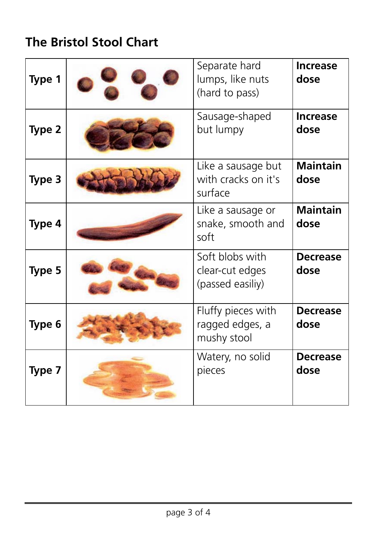# **The Bristol Stool Chart**

| Type 1 | Separate hard<br>lumps, like nuts<br>(hard to pass)    | <b>Increase</b><br>dose |
|--------|--------------------------------------------------------|-------------------------|
| Type 2 | Sausage-shaped<br>but lumpy                            | <b>Increase</b><br>dose |
| Type 3 | Like a sausage but<br>with cracks on it's<br>surface   | <b>Maintain</b><br>dose |
| Type 4 | Like a sausage or<br>snake, smooth and<br>soft         | <b>Maintain</b><br>dose |
| Type 5 | Soft blobs with<br>clear-cut edges<br>(passed easiliy) | <b>Decrease</b><br>dose |
| Type 6 | Fluffy pieces with<br>ragged edges, a<br>mushy stool   | <b>Decrease</b><br>dose |
| Type 7 | Watery, no solid<br>pieces                             | <b>Decrease</b><br>dose |